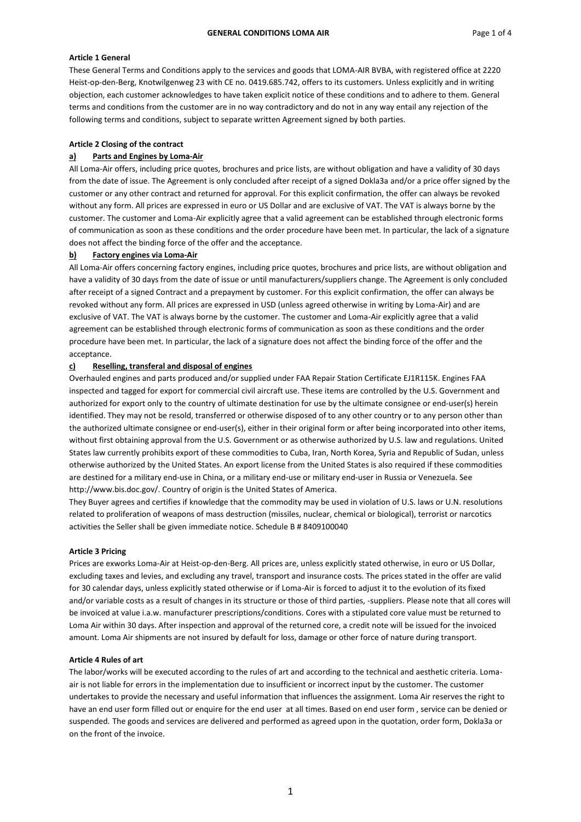## **Article 1 General**

These General Terms and Conditions apply to the services and goods that LOMA-AIR BVBA, with registered office at 2220 Heist-op-den-Berg, Knotwilgenweg 23 with CE no. 0419.685.742, offers to its customers. Unless explicitly and in writing objection, each customer acknowledges to have taken explicit notice of these conditions and to adhere to them. General terms and conditions from the customer are in no way contradictory and do not in any way entail any rejection of the following terms and conditions, subject to separate written Agreement signed by both parties.

## **Article 2 Closing of the contract**

## **a) Parts and Engines by Loma-Air**

All Loma-Air offers, including price quotes, brochures and price lists, are without obligation and have a validity of 30 days from the date of issue. The Agreement is only concluded after receipt of a signed Dokla3a and/or a price offer signed by the customer or any other contract and returned for approval. For this explicit confirmation, the offer can always be revoked without any form. All prices are expressed in euro or US Dollar and are exclusive of VAT. The VAT is always borne by the customer. The customer and Loma-Air explicitly agree that a valid agreement can be established through electronic forms of communication as soon as these conditions and the order procedure have been met. In particular, the lack of a signature does not affect the binding force of the offer and the acceptance.

# **b) Factory engines via Loma-Air**

All Loma-Air offers concerning factory engines, including price quotes, brochures and price lists, are without obligation and have a validity of 30 days from the date of issue or until manufacturers/suppliers change. The Agreement is only concluded after receipt of a signed Contract and a prepayment by customer. For this explicit confirmation, the offer can always be revoked without any form. All prices are expressed in USD (unless agreed otherwise in writing by Loma-Air) and are exclusive of VAT. The VAT is always borne by the customer. The customer and Loma-Air explicitly agree that a valid agreement can be established through electronic forms of communication as soon as these conditions and the order procedure have been met. In particular, the lack of a signature does not affect the binding force of the offer and the acceptance.

## **c) Reselling, transferal and disposal of engines**

Overhauled engines and parts produced and/or supplied under FAA Repair Station Certificate EJ1R115K. Engines FAA inspected and tagged for export for commercial civil aircraft use. These items are controlled by the U.S. Government and authorized for export only to the country of ultimate destination for use by the ultimate consignee or end-user(s) herein identified. They may not be resold, transferred or otherwise disposed of to any other country or to any person other than the authorized ultimate consignee or end-user(s), either in their original form or after being incorporated into other items, without first obtaining approval from the U.S. Government or as otherwise authorized by U.S. law and regulations. United States law currently prohibits export of these commodities to Cuba, Iran, North Korea, Syria and Republic of Sudan, unless otherwise authorized by the United States. An export license from the United States is also required if these commodities are destined for a military end-use in China, or a military end-use or military end-user in Russia or Venezuela. See http://www.bis.doc.gov/. Country of origin is the United States of America.

They Buyer agrees and certifies if knowledge that the commodity may be used in violation of U.S. laws or U.N. resolutions related to proliferation of weapons of mass destruction (missiles, nuclear, chemical or biological), terrorist or narcotics activities the Seller shall be given immediate notice. Schedule B # 8409100040

## **Article 3 Pricing**

Prices are exworks Loma-Air at Heist-op-den-Berg. All prices are, unless explicitly stated otherwise, in euro or US Dollar, excluding taxes and levies, and excluding any travel, transport and insurance costs. The prices stated in the offer are valid for 30 calendar days, unless explicitly stated otherwise or if Loma-Air is forced to adjust it to the evolution of its fixed and/or variable costs as a result of changes in its structure or those of third parties, -suppliers. Please note that all cores will be invoiced at value i.a.w. manufacturer prescriptions/conditions. Cores with a stipulated core value must be returned to Loma Air within 30 days. After inspection and approval of the returned core, a credit note will be issued for the invoiced amount. Loma Air shipments are not insured by default for loss, damage or other force of nature during transport.

### **Article 4 Rules of art**

The labor/works will be executed according to the rules of art and according to the technical and aesthetic criteria. Lomaair is not liable for errors in the implementation due to insufficient or incorrect input by the customer. The customer undertakes to provide the necessary and useful information that influences the assignment. Loma Air reserves the right to have an end user form filled out or enquire for the end user at all times. Based on end user form , service can be denied or suspended. The goods and services are delivered and performed as agreed upon in the quotation, order form, Dokla3a or on the front of the invoice.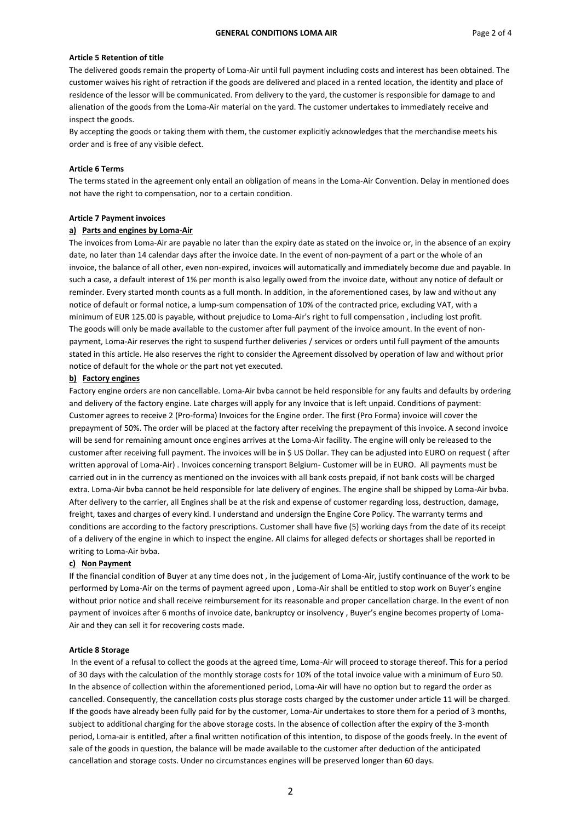## **Article 5 Retention of title**

The delivered goods remain the property of Loma-Air until full payment including costs and interest has been obtained. The customer waives his right of retraction if the goods are delivered and placed in a rented location, the identity and place of residence of the lessor will be communicated. From delivery to the yard, the customer is responsible for damage to and alienation of the goods from the Loma-Air material on the yard. The customer undertakes to immediately receive and inspect the goods.

By accepting the goods or taking them with them, the customer explicitly acknowledges that the merchandise meets his order and is free of any visible defect.

### **Article 6 Terms**

The terms stated in the agreement only entail an obligation of means in the Loma-Air Convention. Delay in mentioned does not have the right to compensation, nor to a certain condition.

#### **Article 7 Payment invoices**

# **a) Parts and engines by Loma-Air**

The invoices from Loma-Air are payable no later than the expiry date as stated on the invoice or, in the absence of an expiry date, no later than 14 calendar days after the invoice date. In the event of non-payment of a part or the whole of an invoice, the balance of all other, even non-expired, invoices will automatically and immediately become due and payable. In such a case, a default interest of 1% per month is also legally owed from the invoice date, without any notice of default or reminder. Every started month counts as a full month. In addition, in the aforementioned cases, by law and without any notice of default or formal notice, a lump-sum compensation of 10% of the contracted price, excluding VAT, with a minimum of EUR 125.00 is payable, without prejudice to Loma-Air's right to full compensation , including lost profit. The goods will only be made available to the customer after full payment of the invoice amount. In the event of nonpayment, Loma-Air reserves the right to suspend further deliveries / services or orders until full payment of the amounts stated in this article. He also reserves the right to consider the Agreement dissolved by operation of law and without prior notice of default for the whole or the part not yet executed.

## **b) Factory engines**

Factory engine orders are non cancellable. Loma-Air bvba cannot be held responsible for any faults and defaults by ordering and delivery of the factory engine. Late charges will apply for any Invoice that is left unpaid. Conditions of payment: Customer agrees to receive 2 (Pro-forma) Invoices for the Engine order. The first (Pro Forma) invoice will cover the prepayment of 50%. The order will be placed at the factory after receiving the prepayment of this invoice. A second invoice will be send for remaining amount once engines arrives at the Loma-Air facility. The engine will only be released to the customer after receiving full payment. The invoices will be in \$ US Dollar. They can be adjusted into EURO on request ( after written approval of Loma-Air) . Invoices concerning transport Belgium- Customer will be in EURO. All payments must be carried out in in the currency as mentioned on the invoices with all bank costs prepaid, if not bank costs will be charged extra. Loma-Air bvba cannot be held responsible for late delivery of engines. The engine shall be shipped by Loma-Air bvba. After delivery to the carrier, all Engines shall be at the risk and expense of customer regarding loss, destruction, damage, freight, taxes and charges of every kind. I understand and undersign the Engine Core Policy. The warranty terms and conditions are according to the factory prescriptions. Customer shall have five (5) working days from the date of its receipt of a delivery of the engine in which to inspect the engine. All claims for alleged defects or shortages shall be reported in writing to Loma-Air bvba.

#### **c) Non Payment**

If the financial condition of Buyer at any time does not , in the judgement of Loma-Air, justify continuance of the work to be performed by Loma-Air on the terms of payment agreed upon , Loma-Air shall be entitled to stop work on Buyer's engine without prior notice and shall receive reimbursement for its reasonable and proper cancellation charge. In the event of non payment of invoices after 6 months of invoice date, bankruptcy or insolvency , Buyer's engine becomes property of Loma-Air and they can sell it for recovering costs made.

#### **Article 8 Storage**

In the event of a refusal to collect the goods at the agreed time, Loma-Air will proceed to storage thereof. This for a period of 30 days with the calculation of the monthly storage costs for 10% of the total invoice value with a minimum of Euro 50. In the absence of collection within the aforementioned period, Loma-Air will have no option but to regard the order as cancelled. Consequently, the cancellation costs plus storage costs charged by the customer under article 11 will be charged. If the goods have already been fully paid for by the customer, Loma-Air undertakes to store them for a period of 3 months, subject to additional charging for the above storage costs. In the absence of collection after the expiry of the 3-month period, Loma-air is entitled, after a final written notification of this intention, to dispose of the goods freely. In the event of sale of the goods in question, the balance will be made available to the customer after deduction of the anticipated cancellation and storage costs. Under no circumstances engines will be preserved longer than 60 days.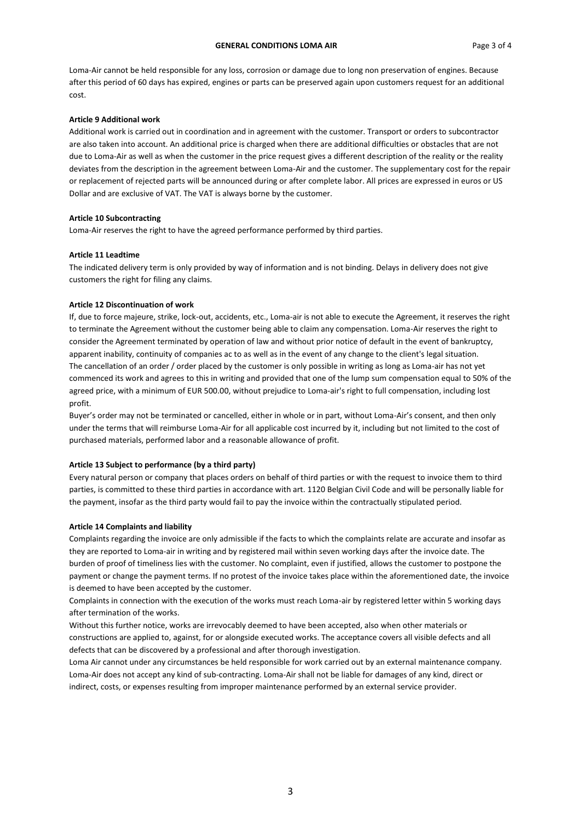Loma-Air cannot be held responsible for any loss, corrosion or damage due to long non preservation of engines. Because after this period of 60 days has expired, engines or parts can be preserved again upon customers request for an additional cost.

### **Article 9 Additional work**

Additional work is carried out in coordination and in agreement with the customer. Transport or orders to subcontractor are also taken into account. An additional price is charged when there are additional difficulties or obstacles that are not due to Loma-Air as well as when the customer in the price request gives a different description of the reality or the reality deviates from the description in the agreement between Loma-Air and the customer. The supplementary cost for the repair or replacement of rejected parts will be announced during or after complete labor. All prices are expressed in euros or US Dollar and are exclusive of VAT. The VAT is always borne by the customer.

### **Article 10 Subcontracting**

Loma-Air reserves the right to have the agreed performance performed by third parties.

### **Article 11 Leadtime**

The indicated delivery term is only provided by way of information and is not binding. Delays in delivery does not give customers the right for filing any claims.

## **Article 12 Discontinuation of work**

If, due to force majeure, strike, lock-out, accidents, etc., Loma-air is not able to execute the Agreement, it reserves the right to terminate the Agreement without the customer being able to claim any compensation. Loma-Air reserves the right to consider the Agreement terminated by operation of law and without prior notice of default in the event of bankruptcy, apparent inability, continuity of companies ac to as well as in the event of any change to the client's legal situation. The cancellation of an order / order placed by the customer is only possible in writing as long as Loma-air has not yet commenced its work and agrees to this in writing and provided that one of the lump sum compensation equal to 50% of the agreed price, with a minimum of EUR 500.00, without prejudice to Loma-air's right to full compensation, including lost profit.

Buyer's order may not be terminated or cancelled, either in whole or in part, without Loma-Air's consent, and then only under the terms that will reimburse Loma-Air for all applicable cost incurred by it, including but not limited to the cost of purchased materials, performed labor and a reasonable allowance of profit.

#### **Article 13 Subject to performance (by a third party)**

Every natural person or company that places orders on behalf of third parties or with the request to invoice them to third parties, is committed to these third parties in accordance with art. 1120 Belgian Civil Code and will be personally liable for the payment, insofar as the third party would fail to pay the invoice within the contractually stipulated period.

### **Article 14 Complaints and liability**

Complaints regarding the invoice are only admissible if the facts to which the complaints relate are accurate and insofar as they are reported to Loma-air in writing and by registered mail within seven working days after the invoice date. The burden of proof of timeliness lies with the customer. No complaint, even if justified, allows the customer to postpone the payment or change the payment terms. If no protest of the invoice takes place within the aforementioned date, the invoice is deemed to have been accepted by the customer.

Complaints in connection with the execution of the works must reach Loma-air by registered letter within 5 working days after termination of the works.

Without this further notice, works are irrevocably deemed to have been accepted, also when other materials or constructions are applied to, against, for or alongside executed works. The acceptance covers all visible defects and all defects that can be discovered by a professional and after thorough investigation.

Loma Air cannot under any circumstances be held responsible for work carried out by an external maintenance company. Loma-Air does not accept any kind of sub-contracting. Loma-Air shall not be liable for damages of any kind, direct or indirect, costs, or expenses resulting from improper maintenance performed by an external service provider.